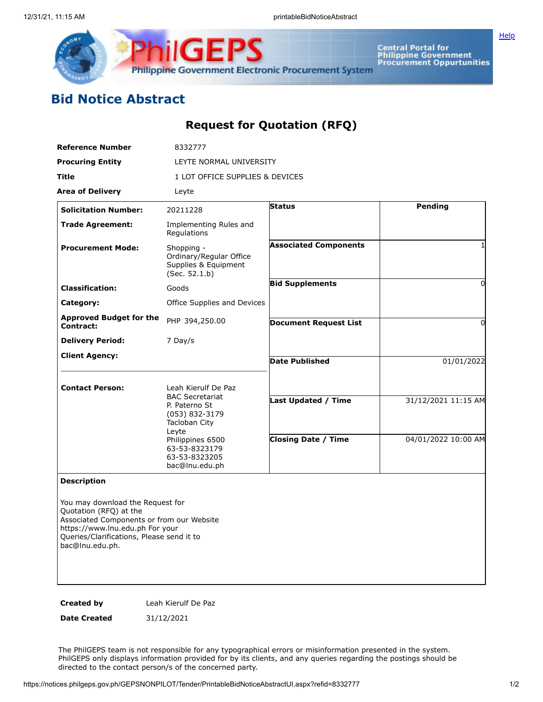

Central Portal for<br>Philippine Government<br>Procurement Oppurtunities

**[Help](javascript:void(window.open()** 

## **Bid Notice Abstract**

## **Request for Quotation (RFQ)**

| <b>Reference Number</b>                                                                                                                                                                                    | 8332777                                                                                                    |                              |                                            |
|------------------------------------------------------------------------------------------------------------------------------------------------------------------------------------------------------------|------------------------------------------------------------------------------------------------------------|------------------------------|--------------------------------------------|
| <b>Procuring Entity</b>                                                                                                                                                                                    | LEYTE NORMAL UNIVERSITY                                                                                    |                              |                                            |
| Title                                                                                                                                                                                                      | 1 LOT OFFICE SUPPLIES & DEVICES                                                                            |                              |                                            |
| <b>Area of Delivery</b>                                                                                                                                                                                    | Leyte                                                                                                      |                              |                                            |
| <b>Solicitation Number:</b>                                                                                                                                                                                | 20211228                                                                                                   | Status                       | Pending                                    |
| <b>Trade Agreement:</b>                                                                                                                                                                                    | Implementing Rules and<br>Regulations                                                                      |                              |                                            |
| <b>Procurement Mode:</b>                                                                                                                                                                                   | Shopping -<br>Ordinary/Regular Office<br>Supplies & Equipment<br>(Sec. 52.1.b)                             | <b>Associated Components</b> | 1                                          |
| <b>Classification:</b>                                                                                                                                                                                     | Goods                                                                                                      | <b>Bid Supplements</b>       | 0                                          |
| Category:                                                                                                                                                                                                  | Office Supplies and Devices                                                                                |                              |                                            |
| <b>Approved Budget for the</b><br>Contract:                                                                                                                                                                | PHP 394,250.00                                                                                             | <b>Document Request List</b> | 0                                          |
| <b>Delivery Period:</b>                                                                                                                                                                                    | 7 Day/s                                                                                                    |                              |                                            |
| <b>Client Agency:</b>                                                                                                                                                                                      |                                                                                                            | <b>Date Published</b>        | 01/01/2022                                 |
| <b>Contact Person:</b>                                                                                                                                                                                     | Leah Kierulf De Paz<br><b>BAC Secretariat</b><br>P. Paterno St<br>(053) 832-3179<br>Tacloban City<br>Leyte | <b>Last Updated / Time</b>   | 31/12/2021 11:15 AM<br>04/01/2022 10:00 AM |
|                                                                                                                                                                                                            | Philippines 6500<br>63-53-8323179<br>63-53-8323205<br>bac@lnu.edu.ph                                       | <b>Closing Date / Time</b>   |                                            |
| <b>Description</b>                                                                                                                                                                                         |                                                                                                            |                              |                                            |
| You may download the Request for<br>Quotation (RFQ) at the<br>Associated Components or from our Website<br>https://www.lnu.edu.ph For your<br>Queries/Clarifications, Please send it to<br>bac@lnu.edu.ph. |                                                                                                            |                              |                                            |
| <b>Created by</b>                                                                                                                                                                                          | Leah Kierulf De Paz                                                                                        |                              |                                            |

**Date Created** 31/12/2021

The PhilGEPS team is not responsible for any typographical errors or misinformation presented in the system. PhilGEPS only displays information provided for by its clients, and any queries regarding the postings should be directed to the contact person/s of the concerned party.